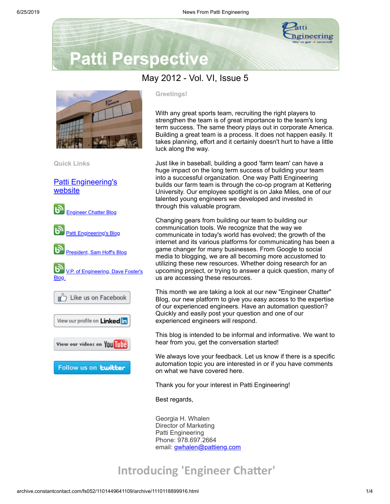

# **Patti Perspective**

### May 2012 - Vol. VI, Issue 5



**Quick Links**

**[Patti Engineering's](http://www.pattieng.com/?utm_source=Patti+Perspective+5_2012_final&utm_campaign=May+Newsletter&utm_medium=archive)** website



#### **Greetings!**

With any great sports team, recruiting the right players to strengthen the team is of great importance to the team's long term success. The same theory plays out in corporate America. Building a great team is a process. It does not happen easily. It takes planning, effort and it certainly doesn't hurt to have a little luck along the way.

Just like in baseball, building a good 'farm team' can have a huge impact on the long term success of building your team into a successful organization. One way Patti Engineering builds our farm team is through the co-op program at Kettering University. Our employee spotlight is on Jake Miles, one of our talented young engineers we developed and invested in through this valuable program.

Changing gears from building our team to building our communication tools. We recognize that the way we communicate in today's world has evolved; the growth of the internet and its various platforms for communicating has been a game changer for many businesses. From Google to social media to blogging, we are all becoming more accustomed to utilizing these new resources. Whether doing research for an upcoming project, or trying to answer a quick question, many of us are accessing these resources.

This month we are taking a look at our new "Engineer Chatter" Blog, our new platform to give you easy access to the expertise of our experienced engineers. Have an automation question? Quickly and easily post your question and one of our experienced engineers will respond.

This blog is intended to be informal and informative. We want to hear from you, get the conversation started!

We always love your feedback. Let us know if there is a specific automation topic you are interested in or if you have comments on what we have covered here.

Thank you for your interest in Patti Engineering!

Best regards,

Georgia H. Whalen Director of Marketing Patti Engineering Phone: 978.697.2664 email: [gwhalen@pattieng.com](mailto:gwhalen@pattieng.com)

### **Introducing 'Engineer Chatter'**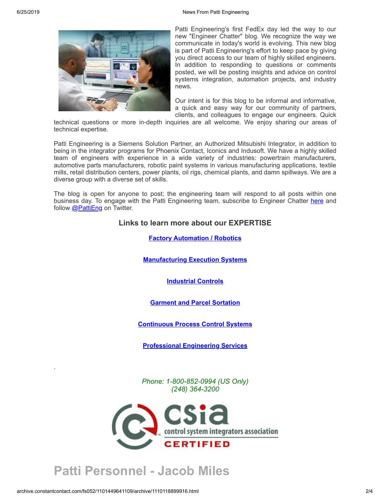

Patti Engineering's first FedEx day led the way to our new "Engineer Chatter" blog. We recognize the way we communicate in today's world is evolving. This new blog is part of Patti Engineering's effort to keep pace by giving you direct access to our team of highly skilled engineers. In addition to responding to questions or comments posted, we will be posting insights and advice on control systems integration, automation projects, and industry news.

Our intent is for this blog to be informal and informative, a quick and easy way for our community of partners, clients, and colleagues to engage our engineers. Quick

technical questions or more in-depth inquiries are all welcome. We enjoy sharing our areas of technical expertise.

Patti Engineering is a Siemens Solution Partner, an Authorized Mitsubishi Integrator, in addition to being in the integrator programs for Phoenix Contact, Iconics and Indusoft. We have a highly skilled team of engineers with experience in a wide variety of industries: powertrain manufacturers, automotive parts manufacturers, robotic paint systems in various manufacturing applications, textile mills, retail distribution centers, power plants, oil rigs, chemical plants, and damn spillways. We are a diverse group with a diverse set of skills.

The blog is open for anyone to post; the engineering team will respond to all posts within one business day. To engage with the Patti Engineering team, subscribe to Engineer Chatter [here](http://web.pattieng.com/engineer-chatter/?utm_source=Patti+Perspective+5_2012_final&utm_campaign=May+Newsletter&utm_medium=archive) and follow [@PattiEng](http://twitter.com/#!/PattiEng) on Twitter.

#### **Links to learn more about our EXPERTISE**

**Factory [Automation](http://www.pattieng.com/factory-automation-robotics.html?utm_source=Patti+Perspective+5_2012_final&utm_campaign=May+Newsletter&utm_medium=archive) / Robotics**

**[Manufacturing](http://www.pattieng.com/manufacturing-execution-systems.html?utm_source=Patti+Perspective+5_2012_final&utm_campaign=May+Newsletter&utm_medium=archive) Execution Systems**

**[Industrial](http://www.pattieng.com/industrial-controls.html?utm_source=Patti+Perspective+5_2012_final&utm_campaign=May+Newsletter&utm_medium=archive) Controls**

#### **Garment and Parcel [Sortation](http://www.pattieng.com/garment-and-parcel-sortation.html?utm_source=Patti+Perspective+5_2012_final&utm_campaign=May+Newsletter&utm_medium=archive)**

**[Continuous](http://www.pattieng.com/continuous-process-control-systems.html?utm_source=Patti+Perspective+5_2012_final&utm_campaign=May+Newsletter&utm_medium=archive) Process Control Systems**

**[Professional](http://www.pattieng.com/professional-engineering-services.html?utm_source=Patti+Perspective+5_2012_final&utm_campaign=May+Newsletter&utm_medium=archive) Engineering Services**

*Phone: 1-800-852-0994 (US Only) (248) 364-3200*



## **Patti Personnel - Jacob Miles**

.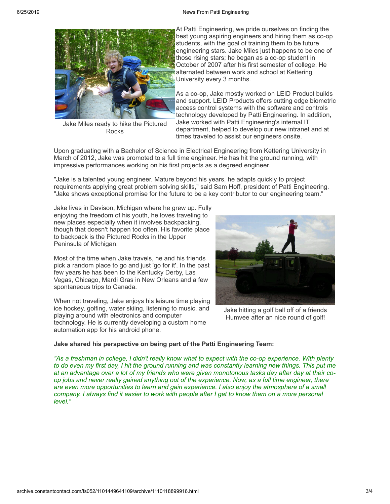

Jake Miles ready to hike the Pictured **Rocks** 

At Patti Engineering, we pride ourselves on finding the best young aspiring engineers and hiring them as co-op students, with the goal of training them to be future engineering stars. Jake Miles just happens to be one of those rising stars; he began as a co-op student in October of 2007 after his first semester of college. He alternated between work and school at Kettering University every 3 months.

As a co-op, Jake mostly worked on LEID Product builds and support. LEID Products offers cutting edge biometric access control systems with the software and controls technology developed by Patti Engineering. In addition, Jake worked with Patti Engineering's internal IT department, helped to develop our new intranet and at times traveled to assist our engineers onsite.

Upon graduating with a Bachelor of Science in Electrical Engineering from Kettering University in March of 2012, Jake was promoted to a full time engineer. He has hit the ground running, with impressive performances working on his first projects as a degreed engineer.

"Jake is a talented young engineer. Mature beyond his years, he adapts quickly to project requirements applying great problem solving skills," said Sam Hoff, president of Patti Engineering. "Jake shows exceptional promise for the future to be a key contributor to our engineering team."

Jake lives in Davison, Michigan where he grew up. Fully enjoying the freedom of his youth, he loves traveling to new places especially when it involves backpacking, though that doesn't happen too often. His favorite place to backpack is the Pictured Rocks in the Upper Peninsula of Michigan.

Most of the time when Jake travels, he and his friends pick a random place to go and just 'go for it'. In the past few years he has been to the Kentucky Derby, Las Vegas, Chicago, Mardi Gras in New Orleans and a few spontaneous trips to Canada.

When not traveling, Jake enjoys his leisure time playing ice hockey, golfing, water skiing, listening to music, and playing around with electronics and computer technology. He is currently developing a custom home automation app for his android phone.



Jake hitting a golf ball off of a friends Humvee after an nice round of golf!

#### **Jake shared his perspective on being part of the Patti Engineering Team:**

"As a freshman in college, I didn't really know what to expect with the co-op experience. With plenty to do even my first day, I hit the ground running and was constantly learning new things. This put me at an advantage over a lot of my friends who were given monotonous tasks day after day at their coop jobs and never really gained anything out of the experience. Now, as a full time engineer, there *are even more opportunities to learn and gain experience. I also enjoy the atmosphere of a small* company. I always find it easier to work with people after I get to know them on a more personal *level."*